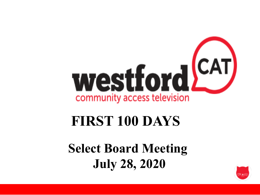

#### **FIRST 100 DAYS**

**Select Board Meeting July 28, 2020**

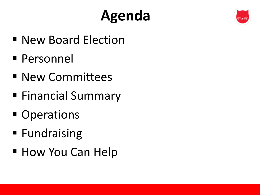# **Agenda**



- New Board Election
- § Personnel
- New Committees
- Financial Summary
- Operations
- Fundraising
- How You Can Help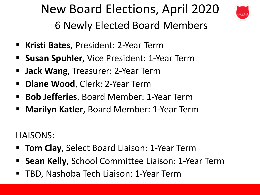# New Board Elections, April 2020



6 Newly Elected Board Members

- § **Kristi Bates**, President: 2-Year Term
- § **Susan Spuhler**, Vice President: 1-Year Term
- **Jack Wang**, Treasurer: 2-Year Term
- § **Diane Wood**, Clerk: 2-Year Term
- § **Bob Jefferies**, Board Member: 1-Year Term
- § **Marilyn Katler**, Board Member: 1-Year Term

LIAISONS:

- **Tom Clay, Select Board Liaison: 1-Year Term**
- § **Sean Kelly**, School Committee Liaison: 1-Year Term
- § TBD, Nashoba Tech Liaison: 1-Year Term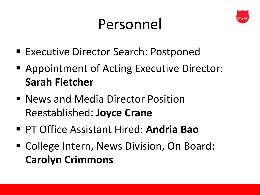#### Personnel



- Executive Director Search: Postponed
- Appointment of Acting Executive Director: **Sarah Fletcher**
- News and Media Director Position Reestablished: **Joyce Crane**
- § PT Office Assistant Hired: **Andria Bao**
- College Intern, News Division, On Board: **Carolyn Crimmons**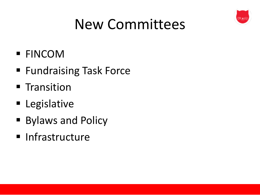

#### New Committees

- § FINCOM
- Fundraising Task Force
- **■** Transition
- Legislative
- Bylaws and Policy
- Infrastructure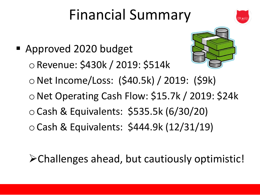## Financial Summary



 $\triangleright$  Challenges ahead, but cautiously optimistic!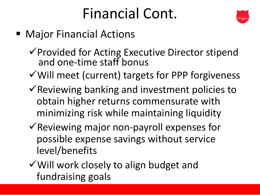### Financial Cont.



- Major Financial Actions
	- $\checkmark$  Provided for Acting Executive Director stipend and one-time staff bonus
	- $\checkmark$  Will meet (current) targets for PPP forgiveness
	- $\checkmark$  Reviewing banking and investment policies to obtain higher returns commensurate with minimizing risk while maintaining liquidity
	- $\checkmark$  Reviewing major non-payroll expenses for possible expense savings without service level/benefits
	- $\checkmark$  Will work closely to align budget and fundraising goals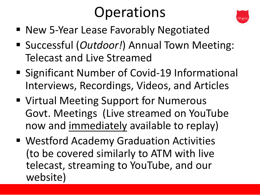### **Operations**



- New 5-Year Lease Favorably Negotiated
- § Successful (*Outdoor!*) Annual Town Meeting: Telecast and Live Streamed
- Significant Number of Covid-19 Informational Interviews, Recordings, Videos, and Articles
- Virtual Meeting Support for Numerous Govt. Meetings (Live streamed on YouTube now and immediately available to replay)
- Westford Academy Graduation Activities (to be covered similarly to ATM with live telecast, streaming to YouTube, and our website)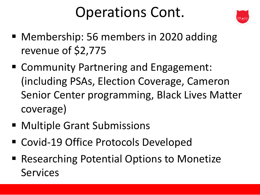#### Operations Cont.



- Membership: 56 members in 2020 adding revenue of \$2,775
- Community Partnering and Engagement: (including PSAs, Election Coverage, Cameron Senior Center programming, Black Lives Matter coverage)
- Multiple Grant Submissions
- Covid-19 Office Protocols Developed
- Researching Potential Options to Monetize Services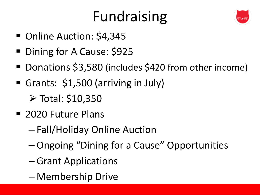## Fundraising



- Online Auction: \$4,345
- Dining for A Cause: \$925
- Donations \$3,580 (includes \$420 from other income)
- § Grants: \$1,500 (arriving in July)

 $\triangleright$  Total: \$10,350

- 2020 Future Plans
	- Fall/Holiday Online Auction
	- Ongoing "Dining for a Cause" Opportunities
	- Grant Applications
	- Membership Drive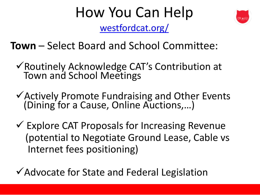# How You Can Help

westfordcat.org/

**Town** – Select Board and School Committee:

- √ Routinely Acknowledge CAT's Contribution at **Town and School Meetings**
- ✔ Actively Promote Fundraising and Other Ever (Dining for a Cause, Online Auctions,...)
- ✔ Explore CAT Proposals for Increasing Revenu (potential to Negotiate Ground Lease, Cable Internet fees positioning)

✔ Advocate for State and Federal Legislation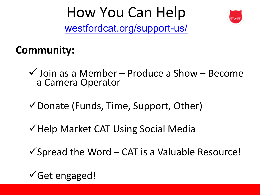#### How You Can Help

westfordcat.org/support-us/

#### **Community:**

 $\checkmark$  Join as a Member - Produce a Show - Beo a Camera Operator

✔ Donate (Funds, Time, Support, Other)

√ Help Market CAT Using Social Media

 $\checkmark$  Spread the Word - CAT is a Valuable Resour

 $\checkmark$  Get engaged!